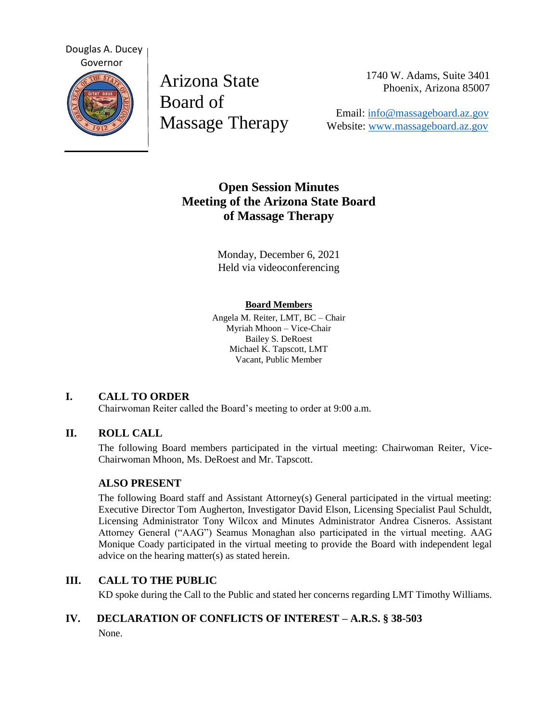

Arizona State Board of Massage Therapy 1740 W. Adams, Suite 3401 Phoenix, Arizona 85007

 Email: [info@massageboard.az.gov](mailto:info@massageboard.az.gov) Website: [www.massageboard.az.gov](http://www.massageboard.az.gov/)

# **Open Session Minutes Meeting of the Arizona State Board of Massage Therapy**

Monday, December 6, 2021 Held via videoconferencing

#### **Board Members**

Angela M. Reiter, LMT, BC – Chair Myriah Mhoon – Vice-Chair Bailey S. DeRoest Michael K. Tapscott, LMT Vacant, Public Member

## **I. CALL TO ORDER**

Chairwoman Reiter called the Board's meeting to order at 9:00 a.m.

## **II. ROLL CALL**

The following Board members participated in the virtual meeting: Chairwoman Reiter, Vice-Chairwoman Mhoon, Ms. DeRoest and Mr. Tapscott.

## **ALSO PRESENT**

The following Board staff and Assistant Attorney(s) General participated in the virtual meeting: Executive Director Tom Augherton, Investigator David Elson, Licensing Specialist Paul Schuldt, Licensing Administrator Tony Wilcox and Minutes Administrator Andrea Cisneros. Assistant Attorney General ("AAG") Seamus Monaghan also participated in the virtual meeting. AAG Monique Coady participated in the virtual meeting to provide the Board with independent legal advice on the hearing matter(s) as stated herein.

## **III. CALL TO THE PUBLIC**

KD spoke during the Call to the Public and stated her concerns regarding LMT Timothy Williams.

## **IV. DECLARATION OF CONFLICTS OF INTEREST – A.R.S. § 38-503** None.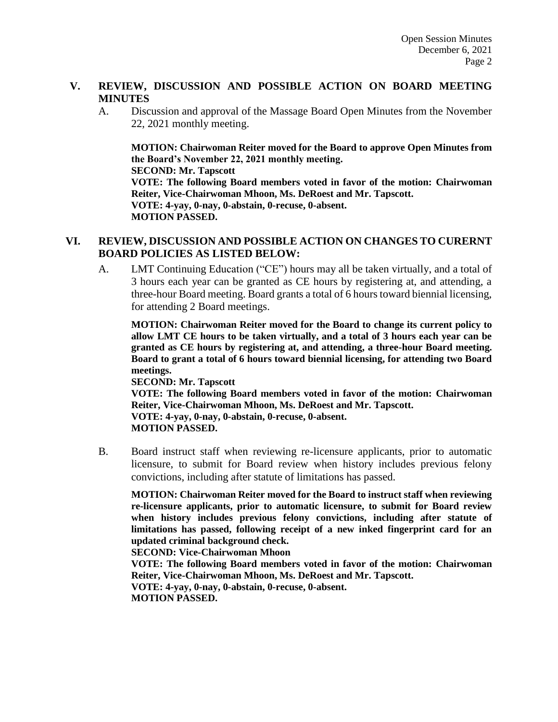#### **V. REVIEW, DISCUSSION AND POSSIBLE ACTION ON BOARD MEETING MINUTES**

A. Discussion and approval of the Massage Board Open Minutes from the November 22, 2021 monthly meeting.

**MOTION: Chairwoman Reiter moved for the Board to approve Open Minutes from the Board's November 22, 2021 monthly meeting. SECOND: Mr. Tapscott** 

**VOTE: The following Board members voted in favor of the motion: Chairwoman Reiter, Vice-Chairwoman Mhoon, Ms. DeRoest and Mr. Tapscott. VOTE: 4-yay, 0-nay, 0-abstain, 0-recuse, 0-absent. MOTION PASSED.** 

## **VI. REVIEW, DISCUSSION AND POSSIBLE ACTION ON CHANGES TO CURERNT BOARD POLICIES AS LISTED BELOW:**

A. LMT Continuing Education ("CE") hours may all be taken virtually, and a total of 3 hours each year can be granted as CE hours by registering at, and attending, a three-hour Board meeting. Board grants a total of 6 hours toward biennial licensing, for attending 2 Board meetings.

**MOTION: Chairwoman Reiter moved for the Board to change its current policy to allow LMT CE hours to be taken virtually, and a total of 3 hours each year can be granted as CE hours by registering at, and attending, a three-hour Board meeting. Board to grant a total of 6 hours toward biennial licensing, for attending two Board meetings.** 

**SECOND: Mr. Tapscott** 

**VOTE: The following Board members voted in favor of the motion: Chairwoman Reiter, Vice-Chairwoman Mhoon, Ms. DeRoest and Mr. Tapscott. VOTE: 4-yay, 0-nay, 0-abstain, 0-recuse, 0-absent. MOTION PASSED.** 

B. Board instruct staff when reviewing re-licensure applicants, prior to automatic licensure, to submit for Board review when history includes previous felony convictions, including after statute of limitations has passed.

**MOTION: Chairwoman Reiter moved for the Board to instruct staff when reviewing re-licensure applicants, prior to automatic licensure, to submit for Board review when history includes previous felony convictions, including after statute of limitations has passed, following receipt of a new inked fingerprint card for an updated criminal background check.** 

**SECOND: Vice-Chairwoman Mhoon** 

**VOTE: The following Board members voted in favor of the motion: Chairwoman Reiter, Vice-Chairwoman Mhoon, Ms. DeRoest and Mr. Tapscott.**

**VOTE: 4-yay, 0-nay, 0-abstain, 0-recuse, 0-absent. MOTION PASSED.**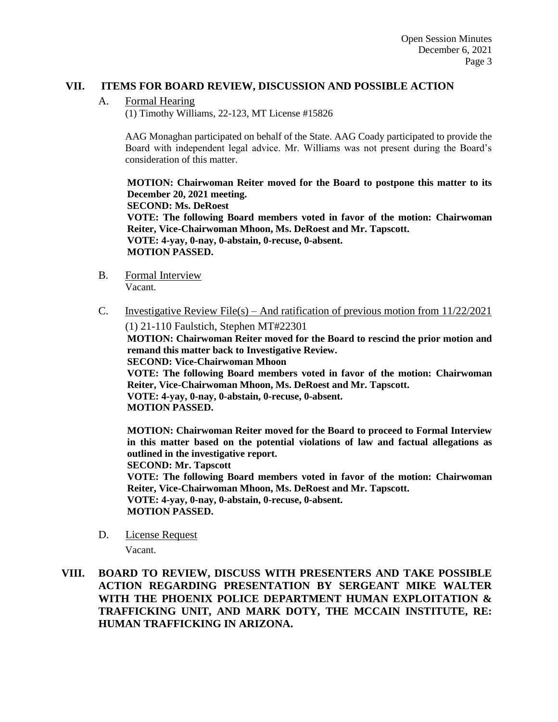#### **VII. ITEMS FOR BOARD REVIEW, DISCUSSION AND POSSIBLE ACTION**

A. Formal Hearing

(1) Timothy Williams, 22-123, MT License #15826

AAG Monaghan participated on behalf of the State. AAG Coady participated to provide the Board with independent legal advice. Mr. Williams was not present during the Board's consideration of this matter.

**MOTION: Chairwoman Reiter moved for the Board to postpone this matter to its December 20, 2021 meeting. SECOND: Ms. DeRoest VOTE: The following Board members voted in favor of the motion: Chairwoman Reiter, Vice-Chairwoman Mhoon, Ms. DeRoest and Mr. Tapscott. VOTE: 4-yay, 0-nay, 0-abstain, 0-recuse, 0-absent. MOTION PASSED.** 

- B. Formal Interview Vacant.
- C. Investigative Review File(s) And ratification of previous motion from  $11/22/2021$ (1) 21-110 Faulstich, Stephen MT#22301

**MOTION: Chairwoman Reiter moved for the Board to rescind the prior motion and remand this matter back to Investigative Review.** 

**SECOND: Vice-Chairwoman Mhoon** 

**VOTE: The following Board members voted in favor of the motion: Chairwoman Reiter, Vice-Chairwoman Mhoon, Ms. DeRoest and Mr. Tapscott.**

**VOTE: 4-yay, 0-nay, 0-abstain, 0-recuse, 0-absent. MOTION PASSED.** 

**MOTION: Chairwoman Reiter moved for the Board to proceed to Formal Interview in this matter based on the potential violations of law and factual allegations as outlined in the investigative report.** 

**SECOND: Mr. Tapscott** 

**VOTE: The following Board members voted in favor of the motion: Chairwoman Reiter, Vice-Chairwoman Mhoon, Ms. DeRoest and Mr. Tapscott.**

**VOTE: 4-yay, 0-nay, 0-abstain, 0-recuse, 0-absent. MOTION PASSED.** 

D. License Request

Vacant.

**VIII. BOARD TO REVIEW, DISCUSS WITH PRESENTERS AND TAKE POSSIBLE ACTION REGARDING PRESENTATION BY SERGEANT MIKE WALTER WITH THE PHOENIX POLICE DEPARTMENT HUMAN EXPLOITATION & TRAFFICKING UNIT, AND MARK DOTY, THE MCCAIN INSTITUTE, RE: HUMAN TRAFFICKING IN ARIZONA.**